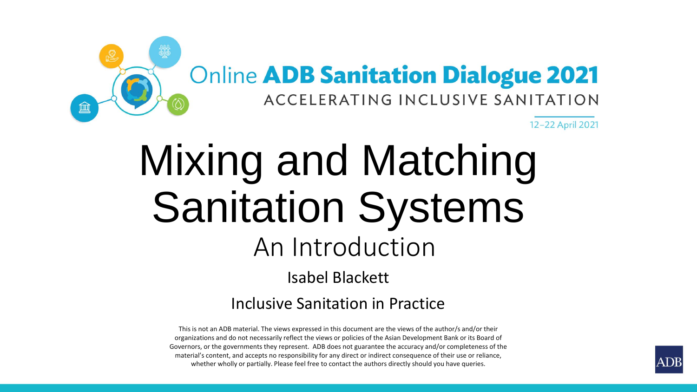

# Mixing and Matching Sanitation Systems An Introduction Isabel Blackett Inclusive Sanitation in Practice

This is not an ADB material. The views expressed in this document are the views of the author/s and/or their organizations and do not necessarily reflect the views or policies of the Asian Development Bank or its Board of Governors, or the governments they represent. ADB does not guarantee the accuracy and/or completeness of the material's content, and accepts no responsibility for any direct or indirect consequence of their use or reliance, whether wholly or partially. Please feel free to contact the authors directly should you have queries.

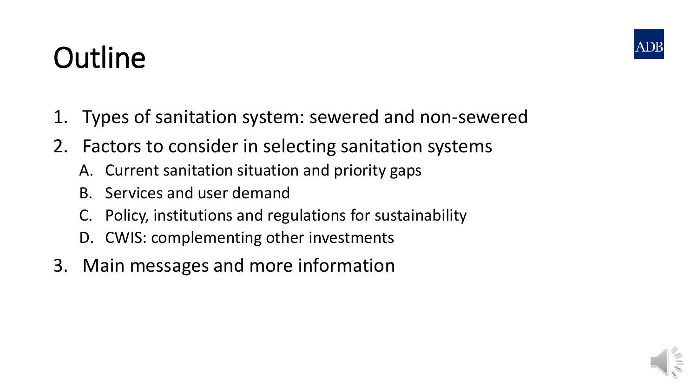# **Outline**

- 1. Types of sanitation system: sewered and non-sewered
- 2. Factors to consider in selecting sanitation systems
	- A. Current sanitation situation and priority gaps
	- B. Services and user demand
	- C. Policy, institutions and regulations for sustainability
	- D. CWIS: complementing other investments
- 3. Main messages and more information



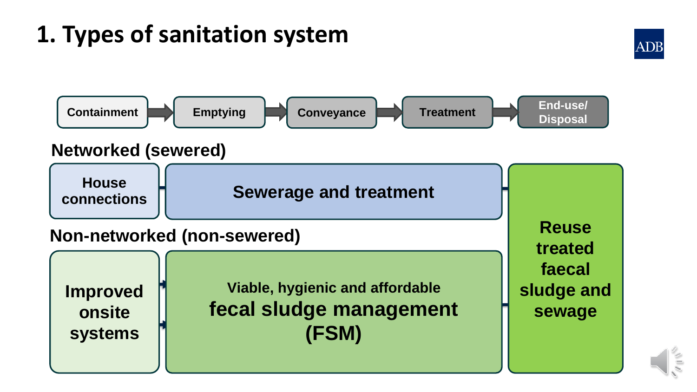## **1. Types of sanitation system**





#### **Non-networked (non-sewered)**

**Improved or onsite systems** 

**Viable, hygienic and affordable Treatment fecal sludge management** | sewage **empty**  $\overline{\textbf{F}}$  **(FSM)** 

**End-use/ Reuse treated faecal sludge and sewage**

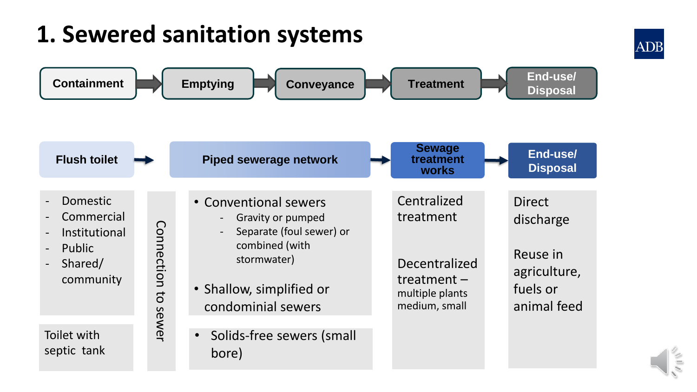#### **1. Sewered sanitation systems**  Treatment **End-use/ End-use/ Disposal Containment Emptying Emptying Conveyance Explose Treatment End ascribed in the Emptying Conveyance Explosed Sewage End-use/ Flush toilet Piped sewerage network treatment Disposal works** Centralized - Domestic • Conventional sewers **Direct Commercial** treatment - Gravity or pumped discharge Connection Connection to sewer - Separate (foul sewer) or - Institutional combined (with - Public Reuse in stormwater) Decentralized - Shared/ agriculture, community treatment – • Shallow, simplified or fuels or  $\overline{c}$ multiple plants condominial sewers medium, small animal feedsewer Toilet with • Solids-free sewers (small septic tank bore)



**ADB**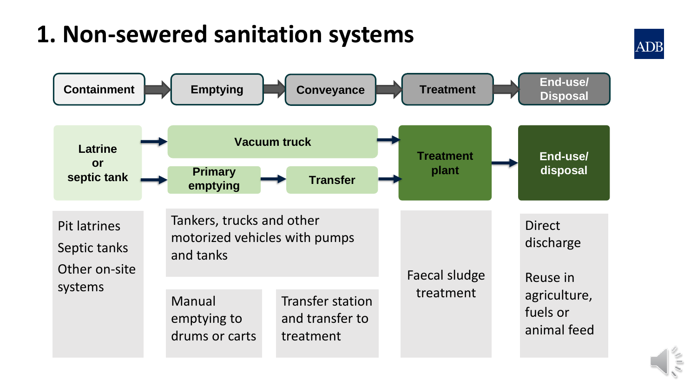## **1. Non-sewered sanitation systems**





**ADB**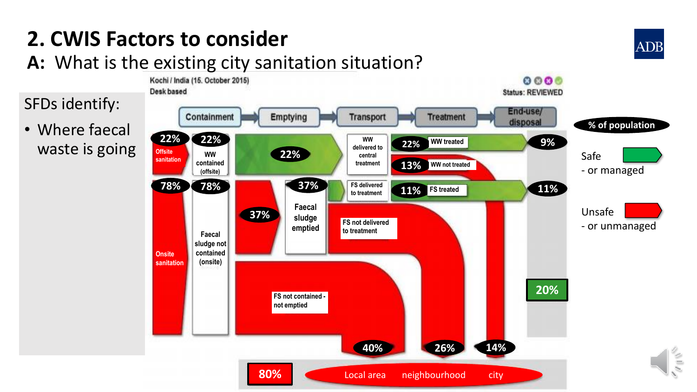## **2. CWIS Factors to consider**

#### **A:** What is the existing city sanitation situation?



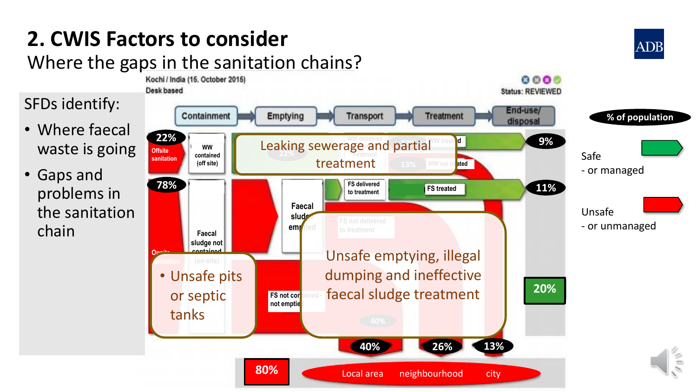## **2. CWIS Factors to consider**

#### Where the gaps in the sanitation chains?



**ADB**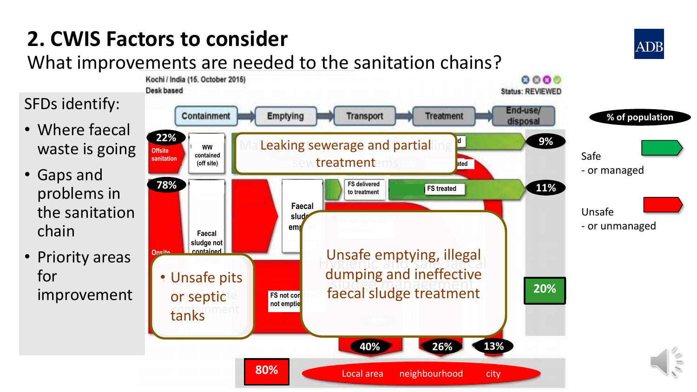## **2. CWIS Factors to consider**

#### What improvements are needed to the sanitation chains?



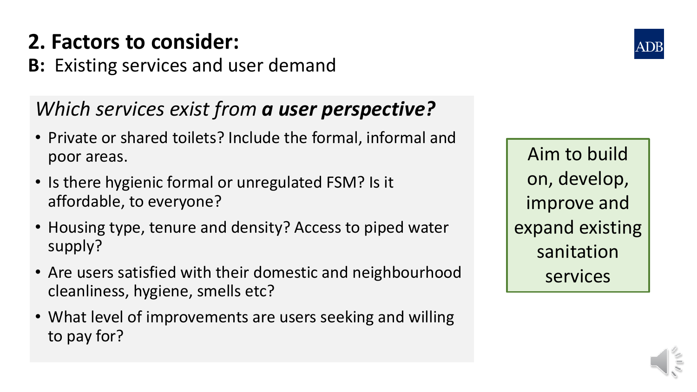## **2. Factors to consider:**

**B:** Existing services and user demand

### *Which services exist from a user perspective?*

- Private or shared toilets? Include the formal, informal and poor areas.
- Is there hygienic formal or unregulated FSM? Is it affordable, to everyone?
- Housing type, tenure and density? Access to piped water supply?
- Are users satisfied with their domestic and neighbourhood cleanliness, hygiene, smells etc?
- What level of improvements are users seeking and willing to pay for?

Aim to build on, develop, improve and expand existing sanitation services

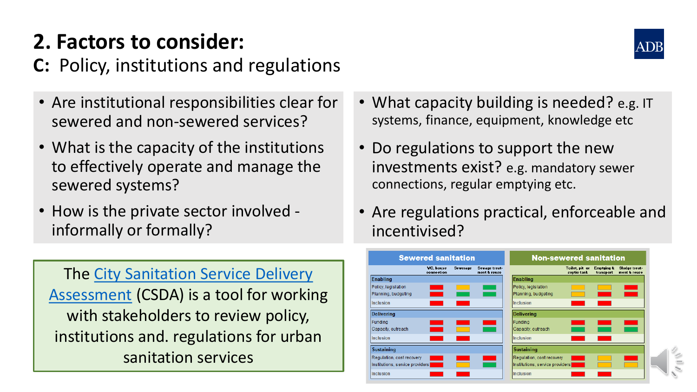## **2. Factors to consider:**

**C:** Policy, institutions and regulations

- Are institutional responsibilities clear for sewered and non-sewered services?
- What is the capacity of the institutions to effectively operate and manage the sewered systems?
- How is the private sector involved informally or formally?

[The City Sanitation Service Delivery](https://incsanprac.com/tools.html#CSDA) Assessment (CSDA) is a tool for working with stakeholders to review policy, institutions and. regulations for urban sanitation services

- What capacity building is needed? e.g. IT systems, finance, equipment, knowledge etc
- Do regulations to support the new investments exist? e.g. mandatory sewer connections, regular emptying etc.
- Are regulations practical, enforceable and incentivised?



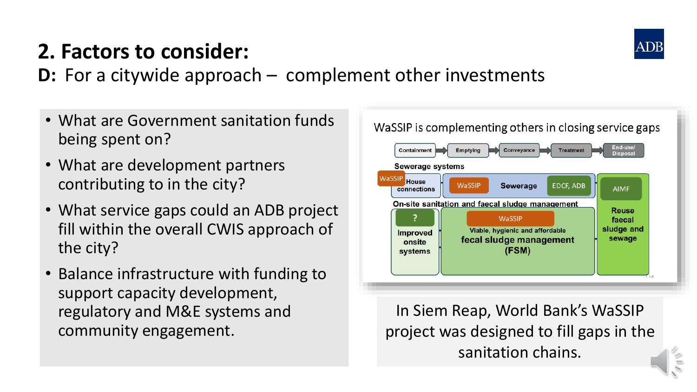

## **2. Factors to consider:**

**D:** For a citywide approach – complement other investments

- What are Government sanitation funds being spent on?
- What are development partners contributing to in the city?
- What service gaps could an ADB project fill within the overall CWIS approach of the city?
- Balance infrastructure with funding to support capacity development, regulatory and M&E systems and community engagement.

WaSSIP is complementing others in closing service gaps



In Siem Reap, World Bank's WaSSIP project was designed to fill gaps in the sanitation chains.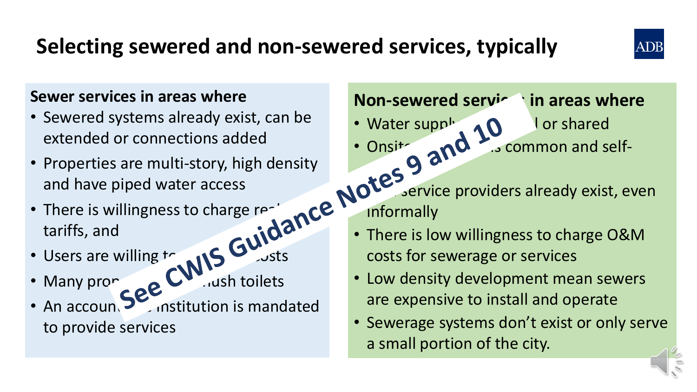## **Selecting sewered and non-sewered services, typically**



#### **Sewer services in areas where**

- Sewered systems already exist, can be extended or connections added
- Properties are multi-story, high density and have piped water access
- There is willingness to charge realistic tariffs, and
- $\cdot$  Users are willing  $\cdot$
- Many properties CVM in toilets
- An accoun $\sum$  institution is mandated to provide services

#### **Non-sewered services in areas where**

- Water supply  $\land$   $\land$  lor shared
- Onsite sanitation is common and self $s<sub>s</sub>$
- service providers already exist, even informally
- There is low willingness to charge O&M costs for sewerage or services
- Low density development mean sewers are expensive to install and operate
- Sewerage systems don't exist or only serve a small portion of the city.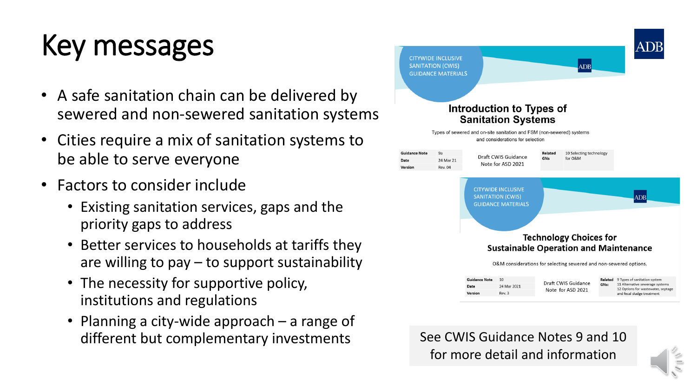# Key messages

- A safe sanitation chain can be delivered by sewered and non-sewered sanitation systems
- Cities require a mix of sanitation systems to be able to serve everyone
- Factors to consider include
	- Existing sanitation services, gaps and the priority gaps to address
	- Better services to households at tariffs they are willing to  $pay - to support sustainable$
	- The necessity for supportive policy, institutions and regulations
	- Planning a city-wide approach a range of different but complementary investments See CWIS Guidance Notes 9 and 10



for more detail and information